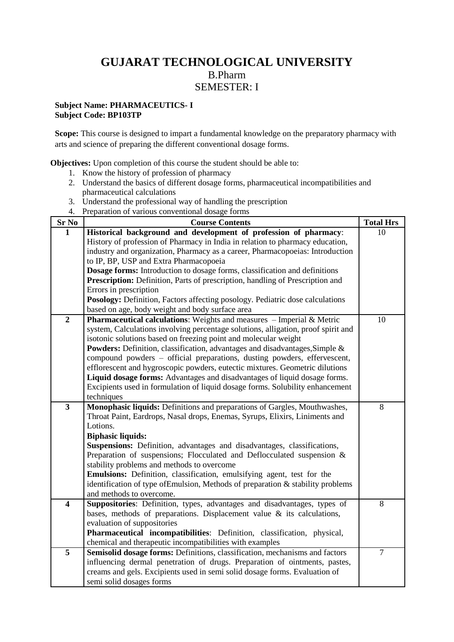# **GUJARAT TECHNOLOGICAL UNIVERSITY** B.Pharm SEMESTER: I

#### **Subject Name: PHARMACEUTICS- I Subject Code: BP103TP**

Scope: This course is designed to impart a fundamental knowledge on the preparatory pharmacy with arts and science of preparing the different conventional dosage forms.

**Objectives:** Upon completion of this course the student should be able to:

- 1. Know the history of profession of pharmacy
- 2. Understand the basics of different dosage forms, pharmaceutical incompatibilities and pharmaceutical calculations
- 3. Understand the professional way of handling the prescription
- 4. Preparation of various conventional dosage forms

| Sr N <sub>0</sub>       | <b>Course Contents</b>                                                                                                                                   | <b>Total Hrs</b> |
|-------------------------|----------------------------------------------------------------------------------------------------------------------------------------------------------|------------------|
| 1                       | Historical background and development of profession of pharmacy:                                                                                         | 10               |
|                         | History of profession of Pharmacy in India in relation to pharmacy education,                                                                            |                  |
|                         | industry and organization, Pharmacy as a career, Pharmacopoeias: Introduction                                                                            |                  |
|                         | to IP, BP, USP and Extra Pharmacopoeia                                                                                                                   |                  |
|                         | Dosage forms: Introduction to dosage forms, classification and definitions                                                                               |                  |
|                         | Prescription: Definition, Parts of prescription, handling of Prescription and                                                                            |                  |
|                         | Errors in prescription                                                                                                                                   |                  |
|                         | Posology: Definition, Factors affecting posology. Pediatric dose calculations                                                                            |                  |
|                         | based on age, body weight and body surface area                                                                                                          |                  |
| $\overline{2}$          | Pharmaceutical calculations: Weights and measures - Imperial & Metric                                                                                    | 10               |
|                         | system, Calculations involving percentage solutions, alligation, proof spirit and                                                                        |                  |
|                         | isotonic solutions based on freezing point and molecular weight                                                                                          |                  |
|                         | Powders: Definition, classification, advantages and disadvantages, Simple &                                                                              |                  |
|                         | compound powders - official preparations, dusting powders, effervescent,<br>efflorescent and hygroscopic powders, eutectic mixtures. Geometric dilutions |                  |
|                         | Liquid dosage forms: Advantages and disadvantages of liquid dosage forms.                                                                                |                  |
|                         | Excipients used in formulation of liquid dosage forms. Solubility enhancement                                                                            |                  |
|                         | techniques                                                                                                                                               |                  |
| $\overline{\mathbf{3}}$ | Monophasic liquids: Definitions and preparations of Gargles, Mouthwashes,                                                                                | 8                |
|                         | Throat Paint, Eardrops, Nasal drops, Enemas, Syrups, Elixirs, Liniments and                                                                              |                  |
|                         | Lotions.                                                                                                                                                 |                  |
|                         | <b>Biphasic liquids:</b>                                                                                                                                 |                  |
|                         | Suspensions: Definition, advantages and disadvantages, classifications,                                                                                  |                  |
|                         | Preparation of suspensions; Flocculated and Deflocculated suspension $\&$                                                                                |                  |
|                         | stability problems and methods to overcome                                                                                                               |                  |
|                         | Emulsions: Definition, classification, emulsifying agent, test for the                                                                                   |                  |
|                         | identification of type of Emulsion, Methods of preparation & stability problems                                                                          |                  |
|                         | and methods to overcome.                                                                                                                                 |                  |
| $\overline{\mathbf{4}}$ | Suppositories: Definition, types, advantages and disadvantages, types of                                                                                 | 8                |
|                         | bases, methods of preparations. Displacement value $\&$ its calculations,                                                                                |                  |
|                         | evaluation of suppositories                                                                                                                              |                  |
|                         | Pharmaceutical incompatibilities: Definition, classification, physical,                                                                                  |                  |
|                         | chemical and therapeutic incompatibilities with examples                                                                                                 |                  |
| $\overline{5}$          | Semisolid dosage forms: Definitions, classification, mechanisms and factors                                                                              | $\overline{7}$   |
|                         | influencing dermal penetration of drugs. Preparation of ointments, pastes,<br>creams and gels. Excipients used in semi solid dosage forms. Evaluation of |                  |
|                         | semi solid dosages forms                                                                                                                                 |                  |
|                         |                                                                                                                                                          |                  |